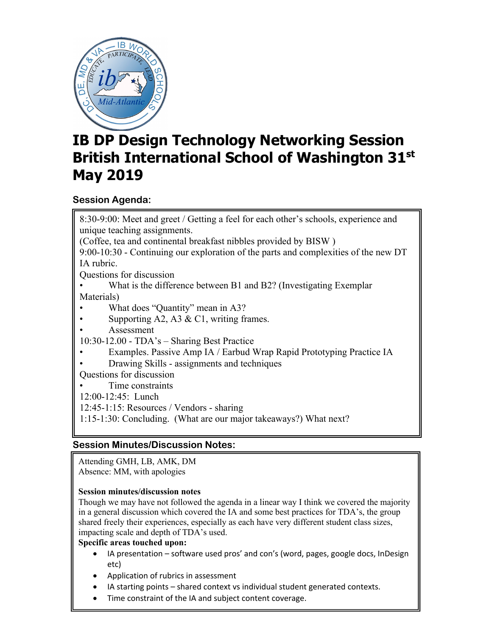

# **IB DP Design Technology Networking Session British International School of Washington 31st May 2019**

## **Session Agenda:**

8:30-9:00: Meet and greet / Getting a feel for each other's schools, experience and unique teaching assignments. (Coffee, tea and continental breakfast nibbles provided by BISW ) 9:00-10:30 - Continuing our exploration of the parts and complexities of the new DT IA rubric. Questions for discussion What is the difference between B1 and B2? (Investigating Exemplar Materials) What does "Quantity" mean in A3? Supporting A2, A3 & C1, writing frames. • Assessment 10:30-12.00 - TDA's – Sharing Best Practice • Examples. Passive Amp IA / Earbud Wrap Rapid Prototyping Practice IA • Drawing Skills - assignments and techniques Questions for discussion • Time constraints 12:00-12:45: Lunch 12:45-1:15: Resources / Vendors - sharing 1:15-1:30: Concluding. (What are our major takeaways?) What next?

## **Session Minutes/Discussion Notes:**

Attending GMH, LB, AMK, DM Absence: MM, with apologies

## **Session minutes/discussion notes**

Though we may have not followed the agenda in a linear way I think we covered the majority in a general discussion which covered the IA and some best practices for TDA's, the group shared freely their experiences, especially as each have very different student class sizes, impacting scale and depth of TDA's used.

### **Specific areas touched upon:**

- IA presentation software used pros' and con's (word, pages, google docs, InDesign etc)
- Application of rubrics in assessment
- IA starting points shared context vs individual student generated contexts.
- Time constraint of the IA and subject content coverage.